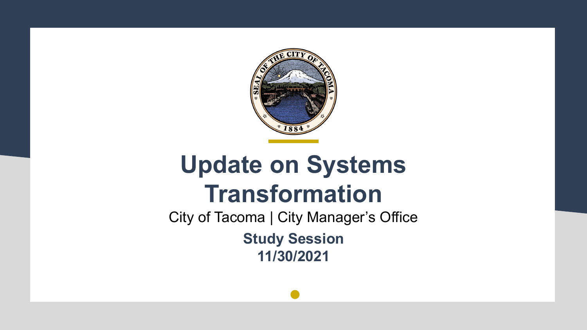

## **Update on Systems Transformation**

City of Tacoma | City Manager's Office **Study Session 11/30/2021**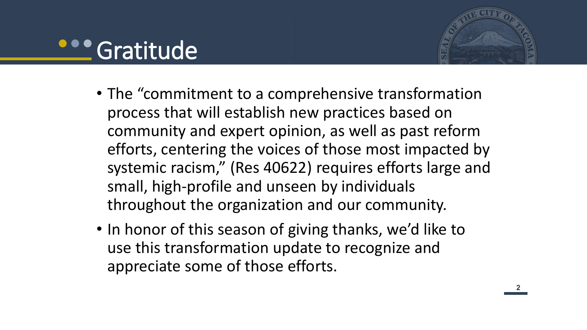#### **Cratitude**



- The "commitment to a comprehensive transformation process that will establish new practices based on community and expert opinion, as well as past reform efforts, centering the voices of those most impacted by systemic racism," (Res 40622) requires efforts large and small, high-profile and unseen by individuals throughout the organization and our community.
- In honor of this season of giving thanks, we'd like to use this transformation update to recognize and appreciate some of those efforts.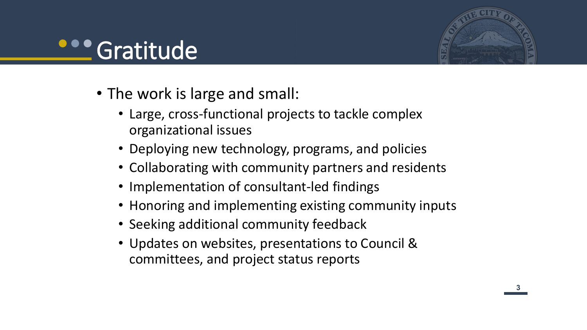## **Cratitude**



- The work is large and small:
	- Large, cross-functional projects to tackle complex organizational issues
	- Deploying new technology, programs, and policies
	- Collaborating with community partners and residents
	- Implementation of consultant-led findings
	- Honoring and implementing existing community inputs
	- Seeking additional community feedback
	- Updates on websites, presentations to Council & committees, and project status reports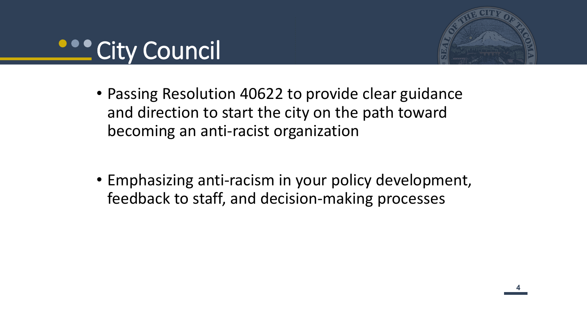



- Passing Resolution 40622 to provide clear guidance and direction to start the city on the path toward becoming an anti-racist organization
- Emphasizing anti-racism in your policy development, feedback to staff, and decision-making processes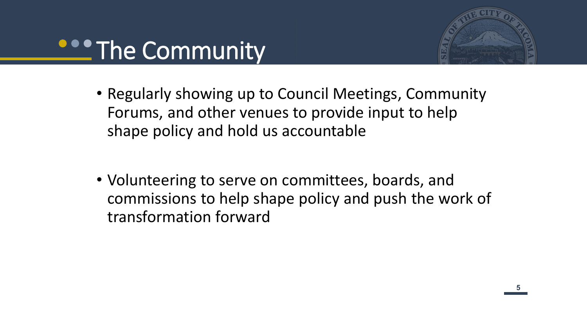## **PROPERTIAL COMMUNITY**



- Regularly showing up to Council Meetings, Community Forums, and other venues to provide input to help shape policy and hold us accountable
- Volunteering to serve on committees, boards, and commissions to help shape policy and push the work of transformation forward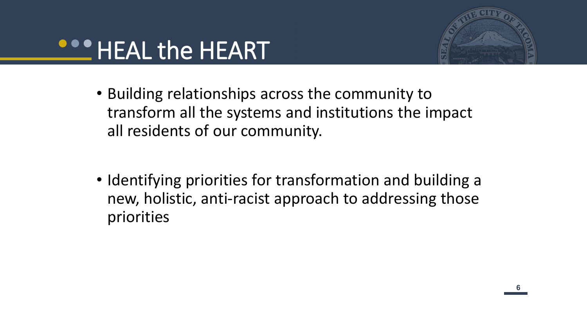



- Building relationships across the community to transform all the systems and institutions the impact all residents of our community.
- Identifying priorities for transformation and building a new, holistic, anti-racist approach to addressing those priorities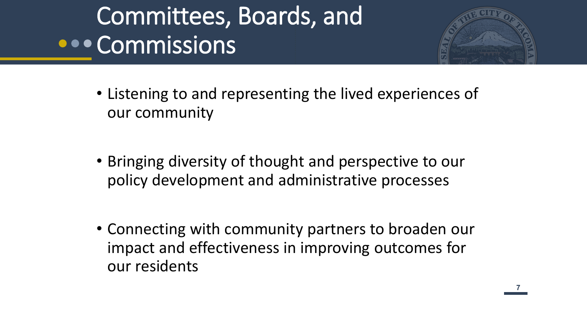# Committees, Boards, and **OCOMMISSIONS**



- Listening to and representing the lived experiences of our community
- Bringing diversity of thought and perspective to our policy development and administrative processes
- Connecting with community partners to broaden our impact and effectiveness in improving outcomes for our residents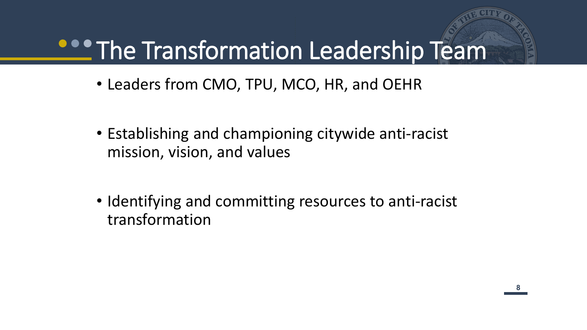# **PROPERTY THE Transformation Leadership Team**

- Leaders from CMO, TPU, MCO, HR, and OEHR
- Establishing and championing citywide anti-racist mission, vision, and values
- Identifying and committing resources to anti-racist transformation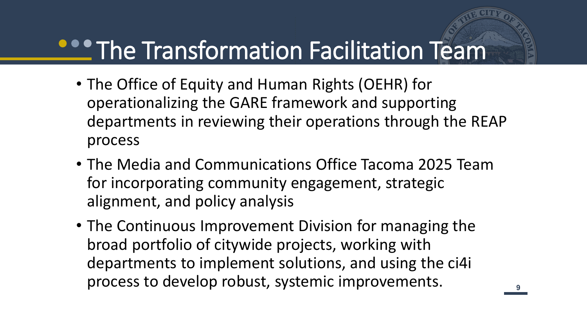## **PROPTITHE Transformation Facilitation Team**

- The Office of Equity and Human Rights (OEHR) for operationalizing the GARE framework and supporting departments in reviewing their operations through the REAP process
- The Media and Communications Office Tacoma 2025 Team for incorporating community engagement, strategic alignment, and policy analysis
- The Continuous Improvement Division for managing the broad portfolio of citywide projects, working with departments to implement solutions, and using the ci4i process to develop robust, systemic improvements.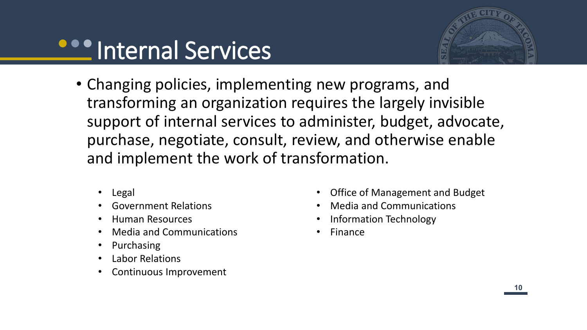# **Properties** Internal Services



- Changing policies, implementing new programs, and transforming an organization requires the largely invisible support of internal services to administer, budget, advocate, purchase, negotiate, consult, review, and otherwise enable and implement the work of transformation.
	- Legal
	- Government Relations
	- Human Resources
	- Media and Communications
	- Purchasing
	- Labor Relations
	- Continuous Improvement
- Office of Management and Budget
- Media and Communications
- Information Technology
- **Finance**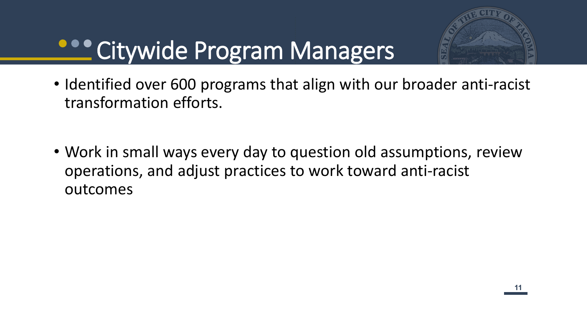

# **Citywide Program Managers**

- Identified over 600 programs that align with our broader anti-racist transformation efforts.
- Work in small ways every day to question old assumptions, review operations, and adjust practices to work toward anti-racist outcomes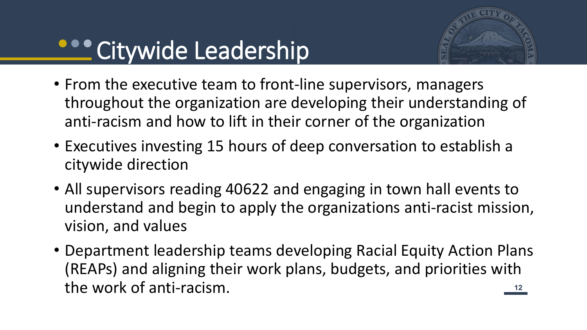## **Citywide Leadership**



- From the executive team to front-line supervisors, managers throughout the organization are developing their understanding of anti-racism and how to lift in their corner of the organization
- Executives investing 15 hours of deep conversation to establish a citywide direction
- All supervisors reading 40622 and engaging in town hall events to understand and begin to apply the organizations anti-racist mission, vision, and values
- <u>**12**</u> • Department leadership teams developing Racial Equity Action Plans (REAPs) and aligning their work plans, budgets, and priorities with the work of anti-racism.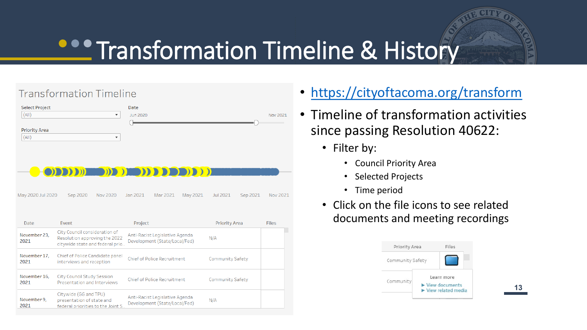# **COO Transformation Timeline & History**

#### **Transformation Timeline**

| <b>Select Project</b><br>(A  )<br>$\blacktriangledown$ | Date<br>Jun 2020 | Nov 2021 |
|--------------------------------------------------------|------------------|----------|
|                                                        |                  |          |
| <b>Priority Area</b>                                   |                  |          |
| (A  )<br>$\check{}$                                    |                  |          |
|                                                        |                  |          |
|                                                        |                  |          |
|                                                        |                  |          |
| <b>O OBRITINE NE THE TREE REPORT</b>                   |                  |          |
|                                                        |                  |          |

Sep 2020 Nov 2020 Jan 2021 Mar 2021 May 2021 May 2020 Jul 2020 Jul 2021 Sep 2021 Nov 2021

| Date                 | Event                                                                                             | Project                                                         | <b>Priority Area</b> | <b>Files</b> |
|----------------------|---------------------------------------------------------------------------------------------------|-----------------------------------------------------------------|----------------------|--------------|
| November 23,<br>2021 | City Council consideration of<br>Resolution approving the 2022<br>citywide state and federal prio | Anti-Racist Legislative Agenda<br>Development (State/Local/Fed) | N/A                  |              |
| November 17,<br>2021 | Chief of Police Candidate panel<br>interviews and reception                                       | <b>Chief of Police Recruitment</b>                              | Community Safety     |              |
| November 16,<br>2021 | <b>City Council Study Session</b><br>Presentation and Interviews                                  | <b>Chief of Police Recruitment</b>                              | Community Safety     |              |
| November 9,<br>2021  | Citywide (GG and TPU)<br>presentation of state and<br>federal priorities to the Joint S           | Anti-Racist Legislative Agenda<br>Development (State/Local/Fed) | N/A                  |              |

- <https://cityoftacoma.org/transform>
- Timeline of transformation activities since passing Resolution 40622:
	- Filter by:
		- Council Priority Area
		- Selected Projects
		- Time period
	- Click on the file icons to see related documents and meeting recordings